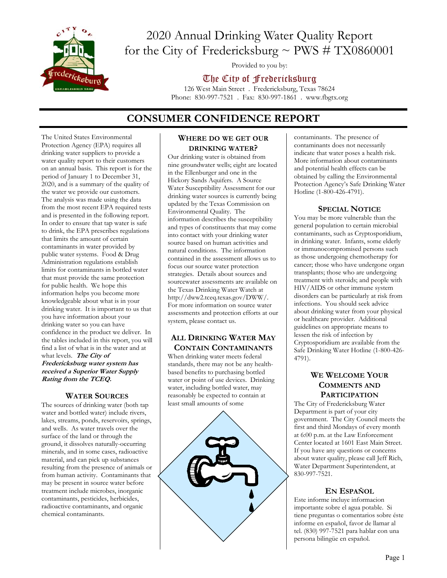

# 2020 Annual Drinking Water Quality Report for the City of Fredericksburg  $\sim$  PWS # TX0860001

Provided to you by:

## The City of Fredericksburg

126 West Main Street . Fredericksburg, Texas 78624 Phone: 830-997-7521 . Fax: 830-997-1861 . www.fbgtx.org

## **CONSUMER CONFIDENCE REPORT**

The United States Environmental Protection Agency (EPA) requires all drinking water suppliers to provide a water quality report to their customers on an annual basis. This report is for the period of January 1 to December 31, 2020, and is a summary of the quality of the water we provide our customers. The analysis was made using the data from the most recent EPA required tests and is presented in the following report. In order to ensure that tap water is safe to drink, the EPA prescribes regulations that limits the amount of certain contaminants in water provided by public water systems. Food & Drug Administration regulations establish limits for contaminants in bottled water that must provide the same protection for public health. We hope this information helps you become more knowledgeable about what is in your drinking water. It is important to us that you have information about your drinking water so you can have confidence in the product we deliver. In the tables included in this report, you will find a list of what is in the water and at what levels. **The City of Fredericksburg water system has received a Superior Water Supply Rating from the TCEQ.** 

### **WATER SOURCES**

The sources of drinking water (both tap water and bottled water) include rivers, lakes, streams, ponds, reservoirs, springs, and wells. As water travels over the surface of the land or through the ground, it dissolves naturally-occurring minerals, and in some cases, radioactive material, and can pick up substances resulting from the presence of animals or from human activity. Contaminants that may be present in source water before treatment include microbes, inorganic contaminants, pesticides, herbicides, radioactive contaminants, and organic chemical contaminants.

#### **WHERE DO WE GET OUR DRINKING WATER?**

Our drinking water is obtained from nine groundwater wells; eight are located in the Ellenburger and one in the Hickory Sands Aquifers. A Source Water Susceptibility Assessment for our drinking water sources is currently being updated by the Texas Commission on Environmental Quality. The information describes the susceptibility and types of constituents that may come into contact with your drinking water source based on human activities and natural conditions. The information contained in the assessment allows us to focus our source water protection strategies. Details about sources and sourcewater assessments are available on the Texas Drinking Water Watch at http://dww2.tceq.texas.gov/DWW/. For more information on source water assessments and protection efforts at our system, please contact us.

### **ALL DRINKING WATER MAY CONTAIN CONTAMINANTS**

When drinking water meets federal standards, there may not be any healthbased benefits to purchasing bottled water or point of use devices. Drinking water, including bottled water, may reasonably be expected to contain at least small amounts of some



contaminants. The presence of contaminants does not necessarily indicate that water poses a health risk. More information about contaminants and potential health effects can be obtained by calling the Environmental Protection Agency's Safe Drinking Water Hotline (1-800-426-4791).

### **SPECIAL NOTICE**

You may be more vulnerable than the general population to certain microbial contaminants, such as Cryptosporidium, in drinking water. Infants, some elderly or immunocompromised persons such as those undergoing chemotherapy for cancer; those who have undergone organ transplants; those who are undergoing treatment with steroids; and people with HIV/AIDS or other immune system disorders can be particularly at risk from infections. You should seek advice about drinking water from your physical or healthcare provider. Additional guidelines on appropriate means to lessen the risk of infection by Cryptosporidium are available from the Safe Drinking Water Hotline (1-800-426- 4791).

## **WE WELCOME YOUR COMMENTS AND PARTICIPATION**

The City of Fredericksburg Water Department is part of your city government. The City Council meets the first and third Mondays of every month at 6:00 p.m. at the Law Enforcement Center located at 1601 East Main Street. If you have any questions or concerns about water quality, please call Jeff Rich, Water Department Superintendent, at 830-997-7521.

## **EN ESPAÑOL**

Este informe incluye informacion importante sobre el agua potable. Si tiene preguntas o comentarios sobre éste informe en español, favor de llamar al tel. (830) 997-7521 para hablar con una persona bilingüe en español.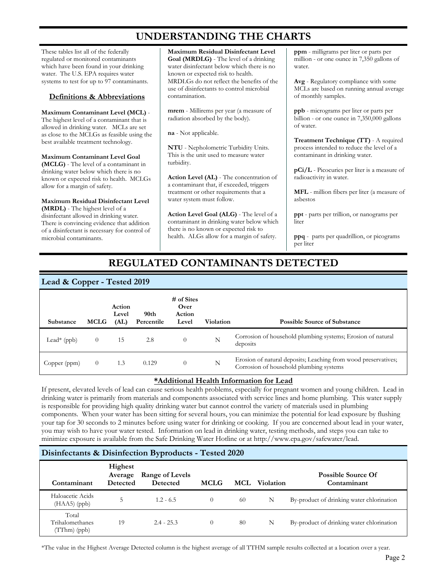## **UNDERSTANDING THE CHARTS**

These tables list all of the federally regulated or monitored contaminants which have been found in your drinking water. The U.S. EPA requires water systems to test for up to 97 contaminants.

#### **Definitions & Abbreviations**

**Maximum Contaminant Level (MCL)** - The highest level of a contaminant that is allowed in drinking water. MCLs are set as close to the MCLGs as feasible using the best available treatment technology.

**Maximum Contaminant Level Goal (MCLG)** - The level of a contaminant in drinking water below which there is no known or expected risk to health. MCLGs allow for a margin of safety.

**Maximum Residual Disinfectant Level (MRDL)** - The highest level of a disinfectant allowed in drinking water. There is convincing evidence that addition of a disinfectant is necessary for control of microbial contaminants.

**Maximum Residual Disinfectant Level Goal (MRDLG)** - The level of a drinking water disinfectant below which there is no known or expected risk to health. MRDLGs do not reflect the benefits of the use of disinfectants to control microbial contamination.

**mrem** - Millirems per year (a measure of radiation absorbed by the body).

**na** - Not applicable.

**NTU** - Nepholometric Turbidity Units. This is the unit used to measure water turbidity.

**Action Level (AL)** - The concentration of a contaminant that, if exceeded, triggers treatment or other requirements that a water system must follow.

**Action Level Goal (ALG)** - The level of a contaminant in drinking water below which there is no known or expected risk to health. ALGs allow for a margin of safety.

**ppm** - milligrams per liter or parts per million - or one ounce in 7,350 gallons of water.

**Avg** - Regulatory compliance with some MCLs are based on running annual average of monthly samples.

**ppb** - micrograms per liter or parts per billion - or one ounce in 7,350,000 gallons of water.

**Treatment Technique (TT)** - A required process intended to reduce the level of a contaminant in drinking water.

**pCi/L** - Picocuries per liter is a measure of radioactivity in water.

**MFL** - million fibers per liter (a measure of asbestos

**ppt** - parts per trillion, or nanograms per liter

**ppq** - parts per quadrillion, or picograms per liter

## **REGULATED CONTAMINANTS DETECTED**

### **Lead & Copper - Tested 2019**

| Substance               | <b>MCLG</b> | Action<br>Level<br>(AL) | 90th<br>Percentile | # of Sites<br>Over<br>Action<br>Level | Violation | <b>Possible Source of Substance</b>                                                                       |
|-------------------------|-------------|-------------------------|--------------------|---------------------------------------|-----------|-----------------------------------------------------------------------------------------------------------|
| Lead <sup>*</sup> (ppb) | $\theta$    | 15                      | 2.8                | $\theta$                              | N         | Corrosion of household plumbing systems; Erosion of natural<br>deposits                                   |
| Copper (ppm)            |             | 1.3                     | 0.129              | $\theta$                              | N         | Erosion of natural deposits; Leaching from wood preservatives;<br>Corrosion of household plumbing systems |

### **\*Additional Health Information for Lead**

If present, elevated levels of lead can cause serious health problems, especially for pregnant women and young children. Lead in drinking water is primarily from materials and components associated with service lines and home plumbing. This water supply is responsible for providing high quality drinking water but cannot control the variety of materials used in plumbing components. When your water has been sitting for several hours, you can minimize the potential for lead exposure by flushing your tap for 30 seconds to 2 minutes before using water for drinking or cooking. If you are concerned about lead in your water, you may wish to have your water tested. Information on lead in drinking water, testing methods, and steps you can take to minimize exposure is available from the Safe Drinking Water Hotline or at http://www.epa.gov/safewater/lead.

## **Disinfectants & Disinfection Byproducts - Tested 2020**

| Contaminant                                | Highest<br>Average<br><b>Detected</b> | Range of Levels<br><b>Detected</b> | <b>MCLG</b>    |     | <b>MCL</b> Violation | <b>Possible Source Of</b><br>Contaminant  |
|--------------------------------------------|---------------------------------------|------------------------------------|----------------|-----|----------------------|-------------------------------------------|
| Haloacetic Acids<br>$(HAA5)$ (ppb)         | 5                                     | $1.2 - 6.5$                        | $\overline{0}$ | -60 | N                    | By-product of drinking water chlorination |
| Total<br>Trihalomethanes<br>$(TThm)$ (ppb) | 19                                    | $2.4 - 25.3$                       | $\overline{0}$ | 80  | N                    | By-product of drinking water chlorination |

\*The value in the Highest Average Detected column is the highest average of all TTHM sample results collected at a location over a year.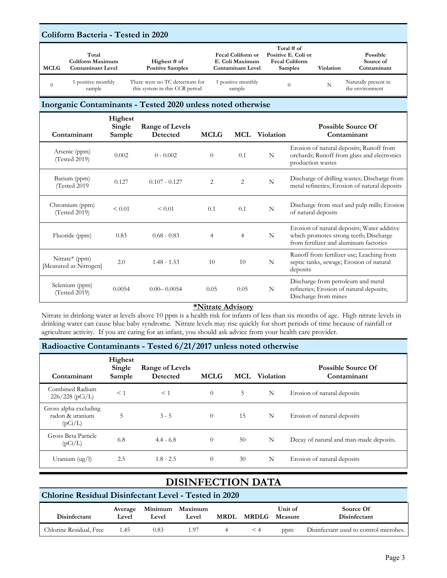## **Coliform Bacteria - Tested in 2020**

| <b>MCLG</b> | Total<br>Coliform Maximum<br>Contaminant Level | Highest $#$ of<br><b>Positive Samples</b>                         | <b>Fecal Coliform or</b><br>E. Coli Maximum<br><b>Contaminant Level</b> | Total $#$ of<br>Positive E. Coli or<br><b>Fecal Coliform</b><br><b>Samples</b> | Violation | Possible<br>Source of<br>Contaminant    |
|-------------|------------------------------------------------|-------------------------------------------------------------------|-------------------------------------------------------------------------|--------------------------------------------------------------------------------|-----------|-----------------------------------------|
|             | 1 positive monthly<br>sample                   | There were no TC detections for<br>this system in this CCR period | positive monthly<br>sample                                              |                                                                                |           | Naturally present in<br>the environment |

#### **Inorganic Contaminants - Tested 2020 unless noted otherwise**

| Contaminant                              | Highest<br>Single<br>Sample | Range of Levels<br>Detected | <b>MCLG</b>    |                | <b>MCL</b> Violation | <b>Possible Source Of</b><br>Contaminant                                                                                        |
|------------------------------------------|-----------------------------|-----------------------------|----------------|----------------|----------------------|---------------------------------------------------------------------------------------------------------------------------------|
| Arsenic (ppm)<br>(Tested 2019)           | 0.002                       | $0 - 0.002$                 | $\Omega$       | 0.1            | N                    | Erosion of natural deposits; Runoff from<br>orchards; Runoff from glass and electronics<br>production wastes                    |
| Barium (ppm)<br>(Tested 2019)            | 0.127                       | $0.107 - 0.127$             | $\overline{c}$ | 2              | N                    | Discharge of drilling wastes; Discharge from<br>metal refineries; Erosion of natural deposits                                   |
| Chromium (ppm)<br>(Tested 2019)          | < 0.01                      | < 0.01                      | 0.1            | 0.1            | N                    | Discharge from steel and pulp mills; Erosion<br>of natural deposits                                                             |
| Fluoride (ppm)                           | 0.83                        | $0.68 - 0.83$               | 4              | $\overline{4}$ | N                    | Erosion of natural deposits; Water additive<br>which promotes strong teeth; Discharge<br>from fertilizer and aluminum factories |
| Nitrate* (ppm)<br>[Measured as Nitrogen] | 2.0                         | $1.48 - 1.53$               | 10             | 10             | N                    | Runoff from fertilizer use; Leaching from<br>septic tanks, sewage; Erosion of natural<br>deposits                               |
| Selenium (ppm)<br>(Tested 2019)          | 0.0054                      | $0.00 - 0.0054$             | 0.05           | 0.05           | N                    | Discharge from petroleum and metal<br>refineries; Erosion of natural deposits;<br>Discharge from mines                          |

#### **\*Nitrate Advisory**

Nitrate in drinking water at levels above 10 ppm is a health risk for infants of less than six months of age. High nitrate levels in drinking water can cause blue baby syndrome. Nitrate levels may rise quickly for short periods of time because of rainfall or agriculture activity. If you are caring for an infant, you should ask advice from your health care provider.

### **Radioactive Contaminants - Tested 6/21/2017 unless noted otherwise**

| Contaminant                                         | Highest<br>Single<br>Sample | Range of Levels<br>Detected | <b>MCLG</b>    |    | <b>MCL</b> Violation | <b>Possible Source Of</b><br>Contaminant |
|-----------------------------------------------------|-----------------------------|-----------------------------|----------------|----|----------------------|------------------------------------------|
| Combined Radium<br>$226/228$ (pCi/L)                | $<$ 1                       | $<$ 1                       | $\Omega$       | 5  | N                    | Erosion of natural deposits              |
| Gross alpha excluding<br>radon & uranium<br>(pCi/L) | 5                           | $3 - 5$                     | $\overline{0}$ | 15 | N                    | Erosion of natural deposits              |
| Gross Beta Particle<br>(pCi/L)                      | 6.8                         | $4.4 - 6.8$                 | $\overline{0}$ | 50 | N                    | Decay of natural and man-made deposits.  |
| Uranium $(ug/l)$                                    | 2.5                         | $1.8 - 2.5$                 | $\theta$       | 30 | N                    | Erosion of natural deposits              |

## **DISINFECTION DATA**

## **Chlorine Residual Disinfectant Level - Tested in 2020**

| Disinfectant            | Level | Level | Average Minimum Maximum<br>Level | <b>MRDL MRDLG Measure</b> | Unit of | Source Of<br>Disinfectant              |
|-------------------------|-------|-------|----------------------------------|---------------------------|---------|----------------------------------------|
| Chlorine Residual, Free | 1.45  | 0.83  | 1.97                             | $\leq 4$                  | ppm     | Disinfectant used to control microbes. |